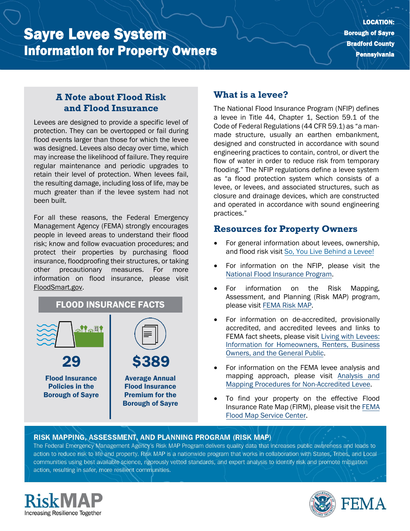## **A Note about Flood Risk and Flood Insurance**

Levees are designed to provide a specific level of protection. They can be overtopped or fail during flood events larger than those for which the levee was designed. Levees also decay over time, which may increase the likelihood of failure. They require regular maintenance and periodic upgrades to retain their level of protection. When levees fail, the resulting damage, including loss of life, may be much greater than if the levee system had not been built.

For all these reasons, the Federal Emergency Management Agency (FEMA) strongly encourages people in leveed areas to understand their flood risk; know and follow evacuation procedures; and protect their properties by purchasing flood insurance, floodproofing their structures, or taking other precautionary measures. For more information on flood insurance, please visit [FloodSmart.gov.](https://www.floodsmart.gov/)



## **What is a levee?**

The National Flood Insurance Program (NFIP) defines a levee in Title 44, Chapter 1, Section 59.1 of the Code of Federal Regulations (44 CFR 59.1) as "a manmade structure, usually an earthen embankment, designed and constructed in accordance with sound engineering practices to contain, control, or divert the flow of water in order to reduce risk from temporary flooding." The NFIP regulations define a levee system as "a flood protection system which consists of a levee, or levees, and associated structures, such as closure and drainage devices, which are constructed and operated in accordance with sound engineering practices."

### **Resources for Property Owners**

- For general information about levees, ownership, and flood risk visit [So, You Live Behind a Levee!](https://ascelibrary.org/doi/book/10.1061/9780784410837)
- For information on th[e](https://www.fema.gov/national-flood-insurance-program) NFIP, please visit the [National Flood Insurance Program.](https://www.fema.gov/national-flood-insurance-program)
- For information on the Risk Mapping, Assessment, and Planning (Risk MAP) program, please visit [FEMA Risk MAP.](https://www.fema.gov/flood-maps/tools-resources/risk-map)
- For information on de-accredited, provisionally accredited, and accredited levees and links to FEMA fact sheets, please visit [Living with Levees:](https://www.fema.gov/flood-maps/living-levees) [Information for Homeowners, Renters, Business](https://www.fema.gov/flood-maps/living-levees) [Owners, and the General Public.](https://www.fema.gov/flood-maps/living-levees)
- For information on the FEMA levee analysis and mapping approach, please visit [Analysis and](https://www.fema.gov/media-library-data/20130726-1922-25045-4455/20130703_approachdocument_508.pdf) [Mapping Procedures for Non-Accredited Levee.](https://www.fema.gov/media-library-data/20130726-1922-25045-4455/20130703_approachdocument_508.pdf)
- To find your property on the effective Flood Insurance Rate Map (FIRM), please visit th[e FEMA](https://msc.fema.gov/portal/) [Flood Map Service Center.](https://msc.fema.gov/portal/)

#### RISK MAPPING, ASSESSMENT, AND PLANNING PROGRAM (RISK MAP)

The Federal Emergency Management Agency's Risk MAP Program delivers quality data that increases public awareness and leads to action to reduce risk to life and property. Risk MAP is a nationwide program that works in collaboration with States, Tribes, and Localcommunities using best available science, rigorously vetted standards, and expert analysis to identify risk and promote mitigation action, resulting in safer, more resilient communities.